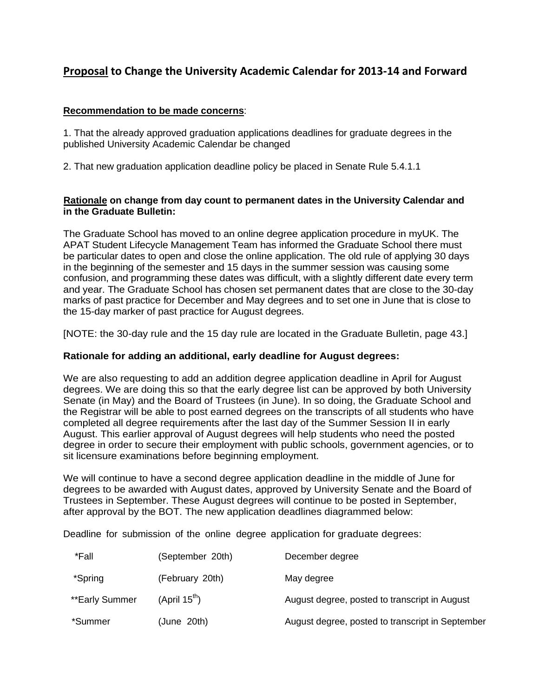# **Proposal to Change the University Academic Calendar for 2013-14 and Forward**

## **Recommendation to be made concerns**:

1. That the already approved graduation applications deadlines for graduate degrees in the published University Academic Calendar be changed

2. That new graduation application deadline policy be placed in Senate Rule 5.4.1.1

## **Rationale on change from day count to permanent dates in the University Calendar and in the Graduate Bulletin:**

The Graduate School has moved to an online degree application procedure in myUK. The APAT Student Lifecycle Management Team has informed the Graduate School there must be particular dates to open and close the online application. The old rule of applying 30 days in the beginning of the semester and 15 days in the summer session was causing some confusion, and programming these dates was difficult, with a slightly different date every term and year. The Graduate School has chosen set permanent dates that are close to the 30-day marks of past practice for December and May degrees and to set one in June that is close to the 15-day marker of past practice for August degrees.

[NOTE: the 30-day rule and the 15 day rule are located in the Graduate Bulletin, page 43.]

# **Rationale for adding an additional, early deadline for August degrees:**

We are also requesting to add an addition degree application deadline in April for August degrees. We are doing this so that the early degree list can be approved by both University Senate (in May) and the Board of Trustees (in June). In so doing, the Graduate School and the Registrar will be able to post earned degrees on the transcripts of all students who have completed all degree requirements after the last day of the Summer Session II in early August. This earlier approval of August degrees will help students who need the posted degree in order to secure their employment with public schools, government agencies, or to sit licensure examinations before beginning employment.

We will continue to have a second degree application deadline in the middle of June for degrees to be awarded with August dates, approved by University Senate and the Board of Trustees in September. These August degrees will continue to be posted in September, after approval by the BOT. The new application deadlines diagrammed below:

Deadline for submission of the online degree application for graduate degrees:

| *Fall          | (September 20th)          | December degree                                  |
|----------------|---------------------------|--------------------------------------------------|
| *Spring        | (February 20th)           | May degree                                       |
| **Early Summer | (April 15 <sup>th</sup> ) | August degree, posted to transcript in August    |
| *Summer        | (June 20th)               | August degree, posted to transcript in September |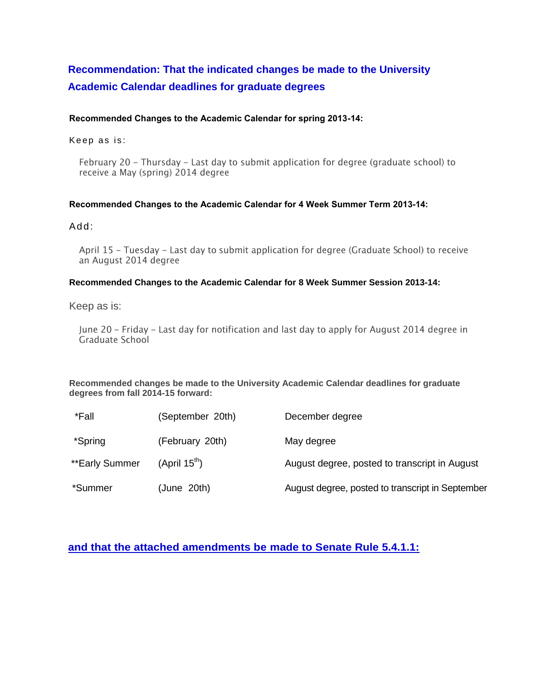# **Recommendation: That the indicated changes be made to the University Academic Calendar deadlines for graduate degrees**

#### **Recommended Changes to the Academic Calendar for spring 2013-14:**

Keep as is:

February 20 - Thursday - Last day to submit application for degree (graduate school) to receive a May (spring) 2014 degree

#### **Recommended Changes to the Academic Calendar for 4 Week Summer Term 2013-14:**

#### Add:

April 15 - Tuesday - Last day to submit application for degree (Graduate School) to receive an August 2014 degree

#### **Recommended Changes to the Academic Calendar for 8 Week Summer Session 2013-14:**

#### Keep as is:

June 20 – Friday – Last day for notification and last day to apply for August 2014 degree in Graduate School

**Recommended changes be made to the University Academic Calendar deadlines for graduate degrees from fall 2014-15 forward:**

| *Fall          | (September 20th)          | December degree                                  |
|----------------|---------------------------|--------------------------------------------------|
| *Spring        | (February 20th)           | May degree                                       |
| **Early Summer | (April 15 <sup>th</sup> ) | August degree, posted to transcript in August    |
| *Summer        | (June 20th)               | August degree, posted to transcript in September |

# **and that the attached amendments be made to Senate Rule 5.4.1.1:**